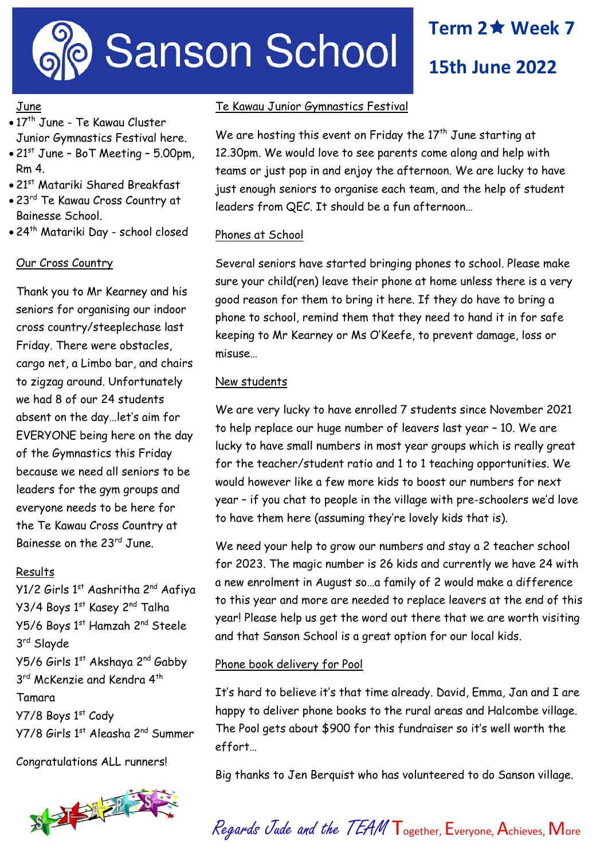

# **Term 2 Week 7**

**15th June 2022**

# June

- $\bullet$  17<sup>th</sup> June Te Kawau Cluster Junior Gymnastics Festival here.
- $\bullet$  21st June BoT Meeting 5.00pm, Rm 4.
- 21<sup>st</sup> Matariki Shared Breakfast
- 23<sup>rd</sup> Te Kawau Cross Country at Bainesse School.
- 24th Matariki Day school closed

## Our Cross Country

Thank you to Mr Kearney and his seniors for organising our indoor cross country/steeplechase last Friday. There were obstacles, cargo net, a Limbo bar, and chairs to zigzag around. Unfortunately we had 8 of our 24 students absent on the day…let's aim for EVERYONE being here on the day of the Gymnastics this Friday because we need all seniors to be leaders for the gym groups and everyone needs to be here for the Te Kawau Cross Country at Bainesse on the 23rd June.

#### Results

Y1/2 Girls 1<sup>st</sup> Aashritha 2<sup>nd</sup> Aafiya Y3/4 Boys 1st Kasey 2<sup>nd</sup> Talha Y5/6 Boys 1st Hamzah 2nd Steele 3 rd Slayde Y5/6 Girls 1st Akshaya 2nd Gabby 3<sup>rd</sup> McKenzie and Kendra 4<sup>th</sup> Tamara Y7/8 Boys 1st Cody Y7/8 Girls 1st Aleasha 2nd Summer

Congratulations ALL runners!



## Te Kawau Junior Gymnastics Festival

We are hosting this event on Friday the  $17<sup>th</sup>$  June starting at 12.30pm. We would love to see parents come along and help with teams or just pop in and enjoy the afternoon. We are lucky to have just enough seniors to organise each team, and the help of student leaders from QEC. It should be a fun afternoon…

#### Phones at School

Several seniors have started bringing phones to school. Please make sure your child(ren) leave their phone at home unless there is a very good reason for them to bring it here. If they do have to bring a phone to school, remind them that they need to hand it in for safe keeping to Mr Kearney or Ms O'Keefe, to prevent damage, loss or misuse…

## New students

We are very lucky to have enrolled 7 students since November 2021 to help replace our huge number of leavers last year – 10. We are lucky to have small numbers in most year groups which is really great for the teacher/student ratio and 1 to 1 teaching opportunities. We would however like a few more kids to boost our numbers for next year – if you chat to people in the village with pre-schoolers we'd love to have them here (assuming they're lovely kids that is).

We need your help to grow our numbers and stay a 2 teacher school for 2023. The magic number is 26 kids and currently we have 24 with a new enrolment in August so…a family of 2 would make a difference to this year and more are needed to replace leavers at the end of this year! Please help us get the word out there that we are worth visiting and that Sanson School is a great option for our local kids.

#### Phone book delivery for Pool

It's hard to believe it's that time already. David, Emma, Jan and I are happy to deliver phone books to the rural areas and Halcombe village. The Pool gets about \$900 for this fundraiser so it's well worth the effort…

Big thanks to Jen Berquist who has volunteered to do Sanson village.

Regards Jude and the TEAM Together, Everyone, Achieves, More